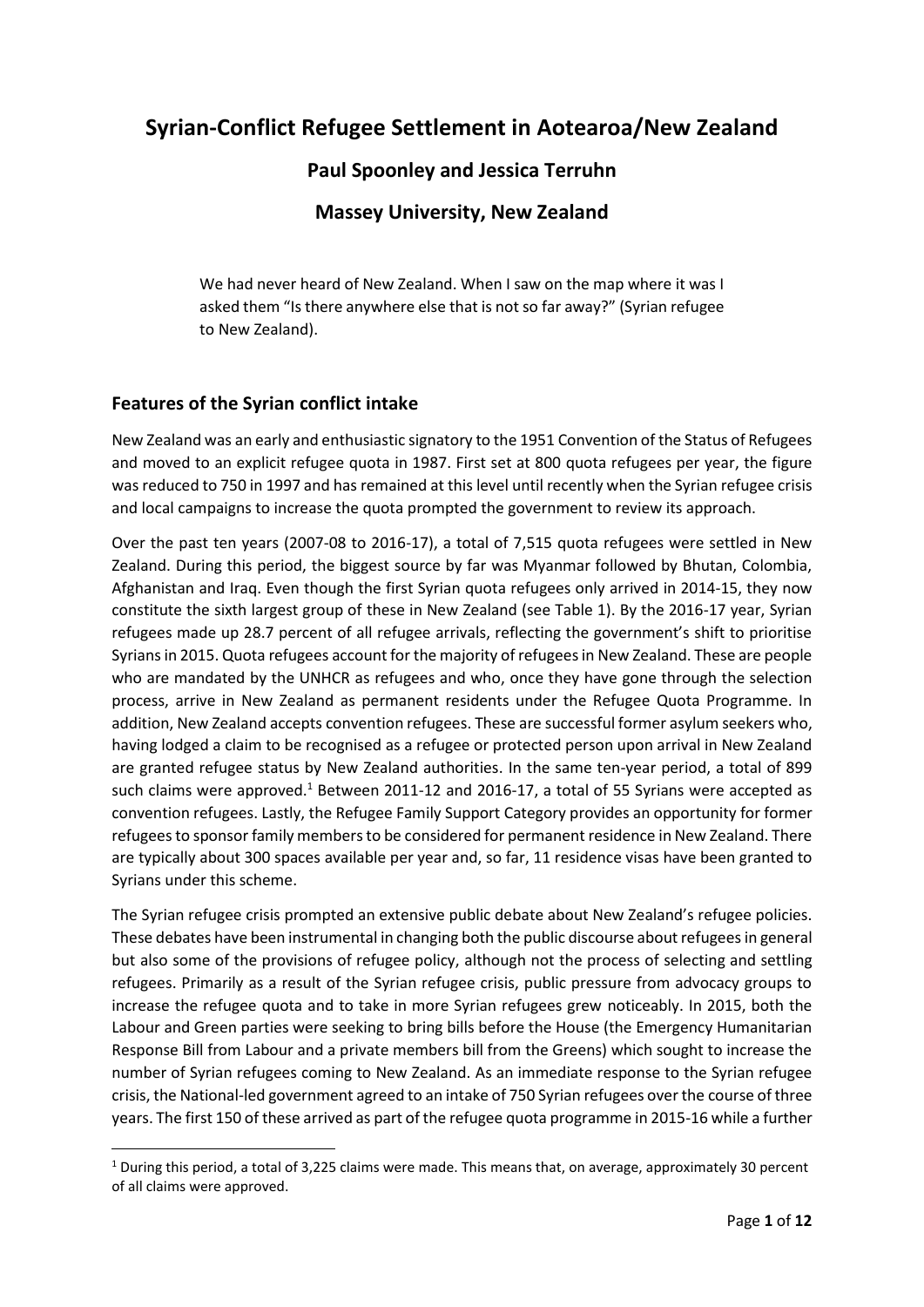# **Syrian-Conflict Refugee Settlement in Aotearoa/New Zealand**

# **Paul Spoonley and Jessica Terruhn**

# **Massey University, New Zealand**

We had never heard of New Zealand. When I saw on the map where it was I asked them "Is there anywhere else that is not so far away?" (Syrian refugee to New Zealand).

# **Features of the Syrian conflict intake**

1

New Zealand was an early and enthusiastic signatory to the 1951 Convention of the Status of Refugees and moved to an explicit refugee quota in 1987. First set at 800 quota refugees per year, the figure was reduced to 750 in 1997 and has remained at this level until recently when the Syrian refugee crisis and local campaigns to increase the quota prompted the government to review its approach.

Over the past ten years (2007-08 to 2016-17), a total of 7,515 quota refugees were settled in New Zealand. During this period, the biggest source by far was Myanmar followed by Bhutan, Colombia, Afghanistan and Iraq. Even though the first Syrian quota refugees only arrived in 2014-15, they now constitute the sixth largest group of these in New Zealand (see Table 1). By the 2016-17 year, Syrian refugees made up 28.7 percent of all refugee arrivals, reflecting the government's shift to prioritise Syrians in 2015. Quota refugees account for the majority of refugees in New Zealand. These are people who are mandated by the UNHCR as refugees and who, once they have gone through the selection process, arrive in New Zealand as permanent residents under the Refugee Quota Programme. In addition, New Zealand accepts convention refugees. These are successful former asylum seekers who, having lodged a claim to be recognised as a refugee or protected person upon arrival in New Zealand are granted refugee status by New Zealand authorities. In the same ten-year period, a total of 899 such claims were approved.<sup>1</sup> Between 2011-12 and 2016-17, a total of 55 Syrians were accepted as convention refugees. Lastly, the Refugee Family Support Category provides an opportunity for former refugees to sponsor family members to be considered for permanent residence in New Zealand. There are typically about 300 spaces available per year and, so far, 11 residence visas have been granted to Syrians under this scheme.

The Syrian refugee crisis prompted an extensive public debate about New Zealand's refugee policies. These debates have been instrumental in changing both the public discourse about refugees in general but also some of the provisions of refugee policy, although not the process of selecting and settling refugees. Primarily as a result of the Syrian refugee crisis, public pressure from advocacy groups to increase the refugee quota and to take in more Syrian refugees grew noticeably. In 2015, both the Labour and Green parties were seeking to bring bills before the House (the Emergency Humanitarian Response Bill from Labour and a private members bill from the Greens) which sought to increase the number of Syrian refugees coming to New Zealand. As an immediate response to the Syrian refugee crisis, the National-led government agreed to an intake of 750 Syrian refugees over the course of three years. The first 150 of these arrived as part of the refugee quota programme in 2015-16 while a further

 $1$  During this period, a total of 3,225 claims were made. This means that, on average, approximately 30 percent of all claims were approved.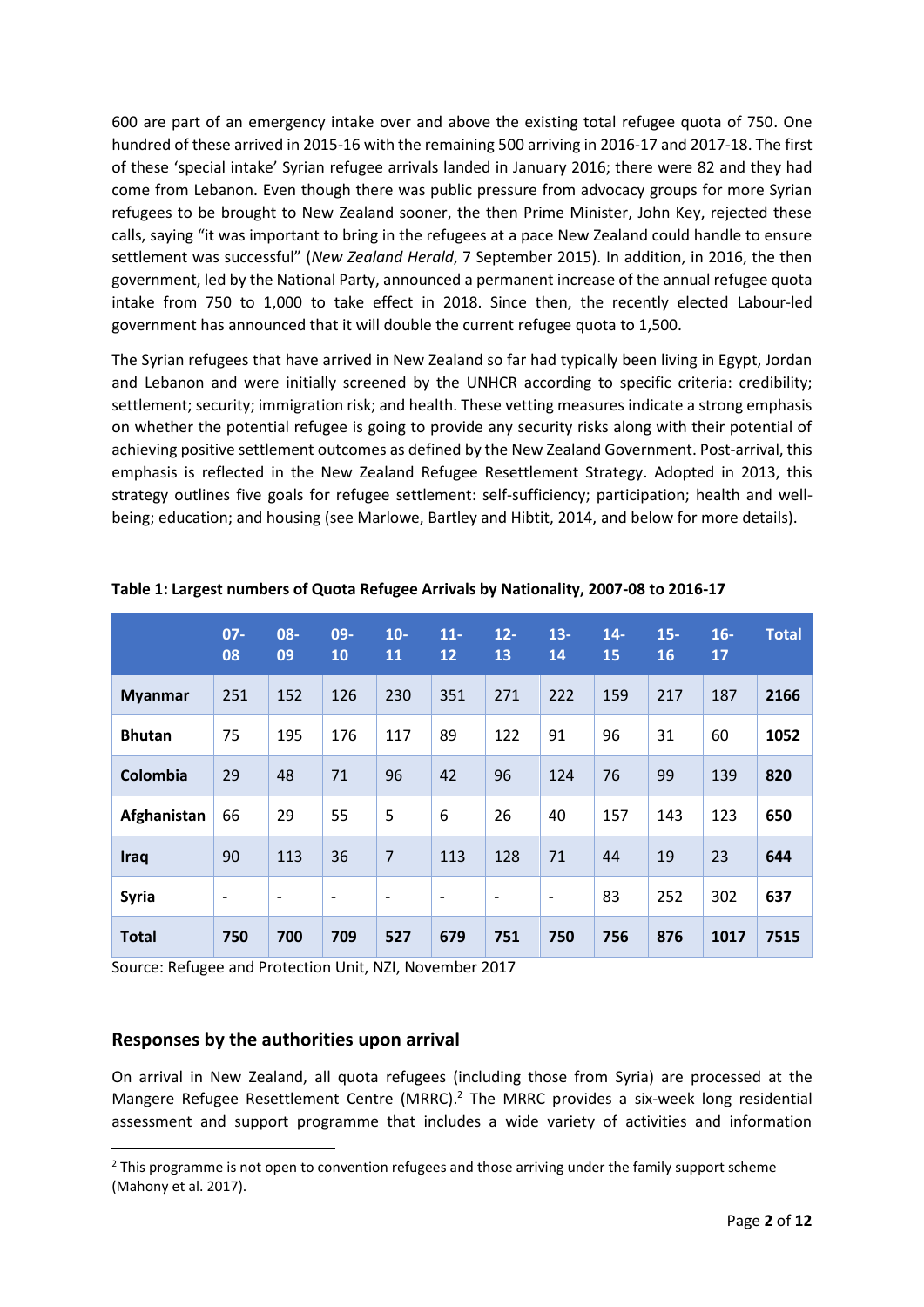600 are part of an emergency intake over and above the existing total refugee quota of 750. One hundred of these arrived in 2015-16 with the remaining 500 arriving in 2016-17 and 2017-18. The first of these 'special intake' Syrian refugee arrivals landed in January 2016; there were 82 and they had come from Lebanon. Even though there was public pressure from advocacy groups for more Syrian refugees to be brought to New Zealand sooner, the then Prime Minister, John Key, rejected these calls, saying "it was important to bring in the refugees at a pace New Zealand could handle to ensure settlement was successful" (*New Zealand Herald*, 7 September 2015). In addition, in 2016, the then government, led by the National Party, announced a permanent increase of the annual refugee quota intake from 750 to 1,000 to take effect in 2018. Since then, the recently elected Labour-led government has announced that it will double the current refugee quota to 1,500.

The Syrian refugees that have arrived in New Zealand so far had typically been living in Egypt, Jordan and Lebanon and were initially screened by the UNHCR according to specific criteria: credibility; settlement; security; immigration risk; and health. These vetting measures indicate a strong emphasis on whether the potential refugee is going to provide any security risks along with their potential of achieving positive settlement outcomes as defined by the New Zealand Government. Post-arrival, this emphasis is reflected in the New Zealand Refugee Resettlement Strategy. Adopted in 2013, this strategy outlines five goals for refugee settlement: self-sufficiency; participation; health and wellbeing; education; and housing (see Marlowe, Bartley and Hibtit, 2014, and below for more details).

|                | $07 -$<br>08             | 08-<br>09                | 09-<br>10                | $10-$<br>11              | $11-$<br>12              | $12 -$<br>13             | $13 -$<br>14             | $14-$<br>15 | $15 -$<br>16 | $16-$<br>17 | <b>Total</b> |
|----------------|--------------------------|--------------------------|--------------------------|--------------------------|--------------------------|--------------------------|--------------------------|-------------|--------------|-------------|--------------|
| <b>Myanmar</b> | 251                      | 152                      | 126                      | 230                      | 351                      | 271                      | 222                      | 159         | 217          | 187         | 2166         |
| <b>Bhutan</b>  | 75                       | 195                      | 176                      | 117                      | 89                       | 122                      | 91                       | 96          | 31           | 60          | 1052         |
| Colombia       | 29                       | 48                       | 71                       | 96                       | 42                       | 96                       | 124                      | 76          | 99           | 139         | 820          |
| Afghanistan    | 66                       | 29                       | 55                       | 5                        | 6                        | 26                       | 40                       | 157         | 143          | 123         | 650          |
| Iraq           | 90                       | 113                      | 36                       | $\overline{7}$           | 113                      | 128                      | 71                       | 44          | 19           | 23          | 644          |
| <b>Syria</b>   | $\overline{\phantom{a}}$ | $\overline{\phantom{a}}$ | $\overline{\phantom{a}}$ | $\overline{\phantom{a}}$ | $\overline{\phantom{a}}$ | $\overline{\phantom{a}}$ | $\overline{\phantom{a}}$ | 83          | 252          | 302         | 637          |
| <b>Total</b>   | 750                      | 700                      | 709                      | 527                      | 679                      | 751                      | 750                      | 756         | 876          | 1017        | 7515         |

**Table 1: Largest numbers of Quota Refugee Arrivals by Nationality, 2007-08 to 2016-17**

Source: Refugee and Protection Unit, NZI, November 2017

#### **Responses by the authorities upon arrival**

1

On arrival in New Zealand, all quota refugees (including those from Syria) are processed at the Mangere Refugee Resettlement Centre (MRRC).<sup>2</sup> The MRRC provides a six-week long residential assessment and support programme that includes a wide variety of activities and information

 $<sup>2</sup>$  This programme is not open to convention refugees and those arriving under the family support scheme</sup> (Mahony et al. 2017).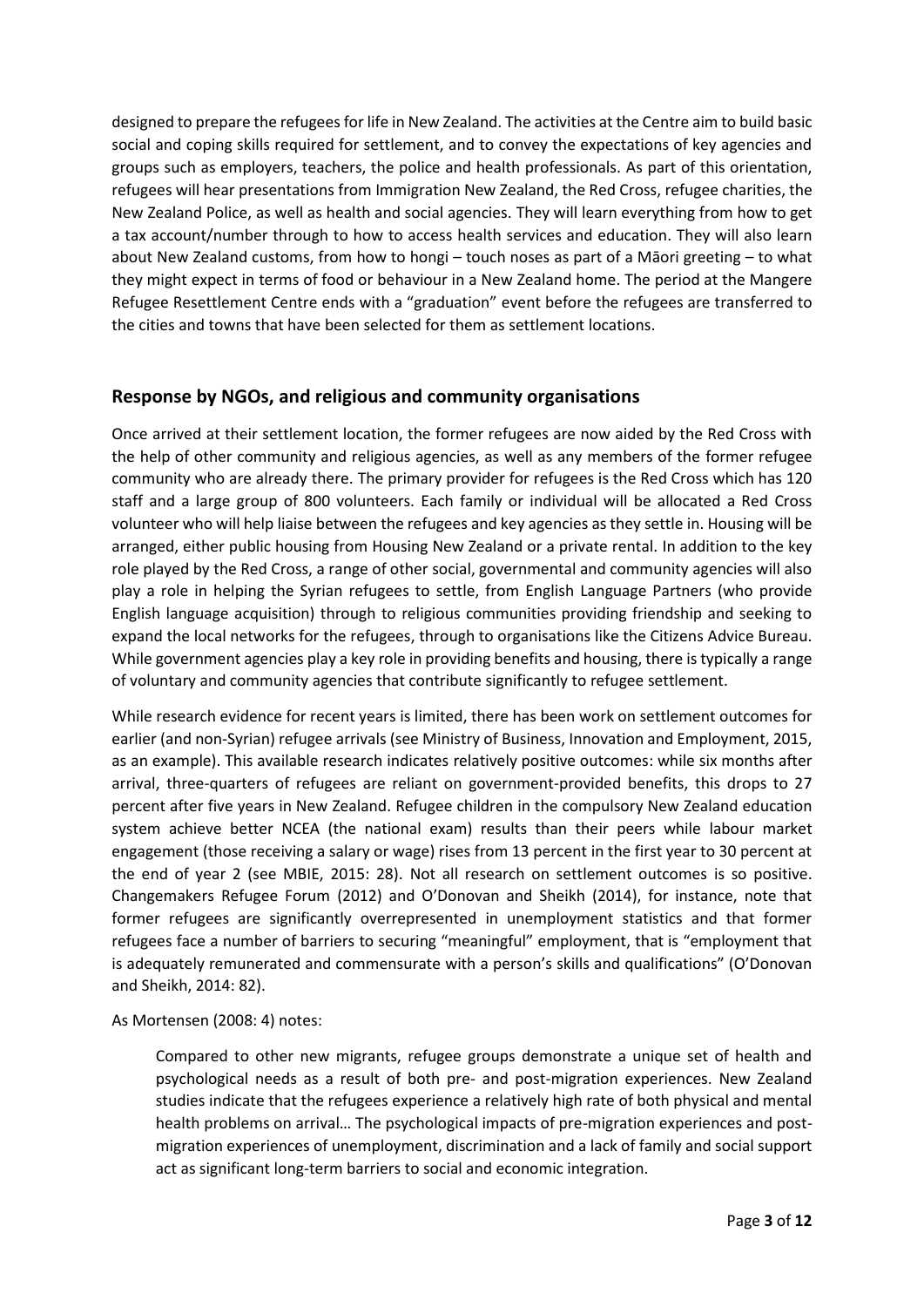designed to prepare the refugees for life in New Zealand. The activities at the Centre aim to build basic social and coping skills required for settlement, and to convey the expectations of key agencies and groups such as employers, teachers, the police and health professionals. As part of this orientation, refugees will hear presentations from Immigration New Zealand, the Red Cross, refugee charities, the New Zealand Police, as well as health and social agencies. They will learn everything from how to get a tax account/number through to how to access health services and education. They will also learn about New Zealand customs, from how to hongi – touch noses as part of a Māori greeting – to what they might expect in terms of food or behaviour in a New Zealand home. The period at the Mangere Refugee Resettlement Centre ends with a "graduation" event before the refugees are transferred to the cities and towns that have been selected for them as settlement locations.

### **Response by NGOs, and religious and community organisations**

Once arrived at their settlement location, the former refugees are now aided by the Red Cross with the help of other community and religious agencies, as well as any members of the former refugee community who are already there. The primary provider for refugees is the Red Cross which has 120 staff and a large group of 800 volunteers. Each family or individual will be allocated a Red Cross volunteer who will help liaise between the refugees and key agencies as they settle in. Housing will be arranged, either public housing from Housing New Zealand or a private rental. In addition to the key role played by the Red Cross, a range of other social, governmental and community agencies will also play a role in helping the Syrian refugees to settle, from English Language Partners (who provide English language acquisition) through to religious communities providing friendship and seeking to expand the local networks for the refugees, through to organisations like the Citizens Advice Bureau. While government agencies play a key role in providing benefits and housing, there is typically a range of voluntary and community agencies that contribute significantly to refugee settlement.

While research evidence for recent years is limited, there has been work on settlement outcomes for earlier (and non-Syrian) refugee arrivals (see Ministry of Business, Innovation and Employment, 2015, as an example). This available research indicates relatively positive outcomes: while six months after arrival, three-quarters of refugees are reliant on government-provided benefits, this drops to 27 percent after five years in New Zealand. Refugee children in the compulsory New Zealand education system achieve better NCEA (the national exam) results than their peers while labour market engagement (those receiving a salary or wage) rises from 13 percent in the first year to 30 percent at the end of year 2 (see MBIE, 2015: 28). Not all research on settlement outcomes is so positive. Changemakers Refugee Forum (2012) and O'Donovan and Sheikh (2014), for instance, note that former refugees are significantly overrepresented in unemployment statistics and that former refugees face a number of barriers to securing "meaningful" employment, that is "employment that is adequately remunerated and commensurate with a person's skills and qualifications" (O'Donovan and Sheikh, 2014: 82).

#### As Mortensen (2008: 4) notes:

Compared to other new migrants, refugee groups demonstrate a unique set of health and psychological needs as a result of both pre- and post-migration experiences. New Zealand studies indicate that the refugees experience a relatively high rate of both physical and mental health problems on arrival… The psychological impacts of pre-migration experiences and postmigration experiences of unemployment, discrimination and a lack of family and social support act as significant long-term barriers to social and economic integration.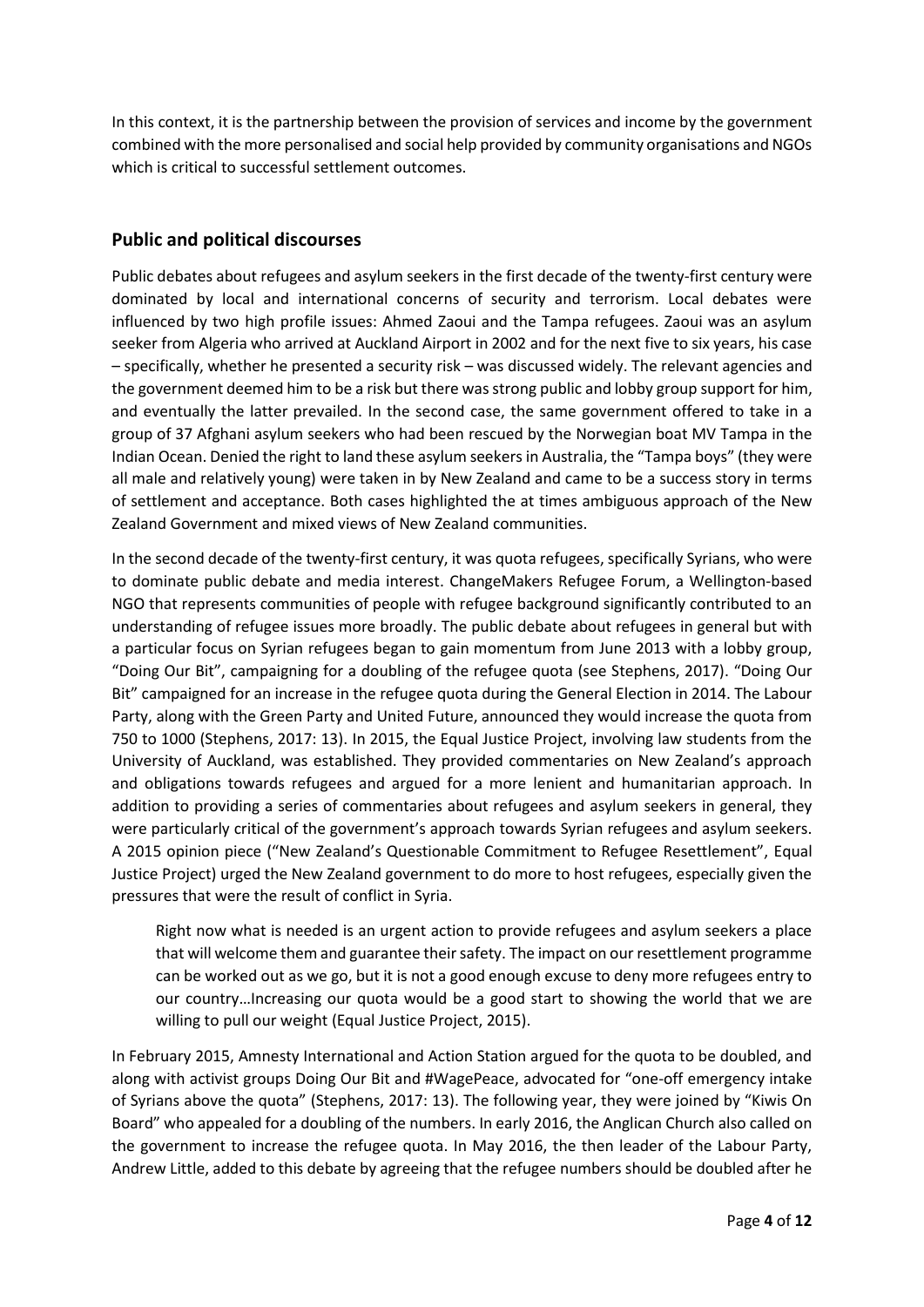In this context, it is the partnership between the provision of services and income by the government combined with the more personalised and social help provided by community organisations and NGOs which is critical to successful settlement outcomes.

### **Public and political discourses**

Public debates about refugees and asylum seekers in the first decade of the twenty-first century were dominated by local and international concerns of security and terrorism. Local debates were influenced by two high profile issues: Ahmed Zaoui and the Tampa refugees. Zaoui was an asylum seeker from Algeria who arrived at Auckland Airport in 2002 and for the next five to six years, his case – specifically, whether he presented a security risk – was discussed widely. The relevant agencies and the government deemed him to be a risk but there was strong public and lobby group support for him, and eventually the latter prevailed. In the second case, the same government offered to take in a group of 37 Afghani asylum seekers who had been rescued by the Norwegian boat MV Tampa in the Indian Ocean. Denied the right to land these asylum seekers in Australia, the "Tampa boys" (they were all male and relatively young) were taken in by New Zealand and came to be a success story in terms of settlement and acceptance. Both cases highlighted the at times ambiguous approach of the New Zealand Government and mixed views of New Zealand communities.

In the second decade of the twenty-first century, it was quota refugees, specifically Syrians, who were to dominate public debate and media interest. ChangeMakers Refugee Forum, a Wellington-based NGO that represents communities of people with refugee background significantly contributed to an understanding of refugee issues more broadly. The public debate about refugees in general but with a particular focus on Syrian refugees began to gain momentum from June 2013 with a lobby group, "Doing Our Bit", campaigning for a doubling of the refugee quota (see Stephens, 2017). "Doing Our Bit" campaigned for an increase in the refugee quota during the General Election in 2014. The Labour Party, along with the Green Party and United Future, announced they would increase the quota from 750 to 1000 (Stephens, 2017: 13). In 2015, the Equal Justice Project, involving law students from the University of Auckland, was established. They provided commentaries on New Zealand's approach and obligations towards refugees and argued for a more lenient and humanitarian approach. In addition to providing a series of commentaries about refugees and asylum seekers in general, they were particularly critical of the government's approach towards Syrian refugees and asylum seekers. A 2015 opinion piece ("New Zealand's Questionable Commitment to Refugee Resettlement", Equal Justice Project) urged the New Zealand government to do more to host refugees, especially given the pressures that were the result of conflict in Syria.

Right now what is needed is an urgent action to provide refugees and asylum seekers a place that will welcome them and guarantee their safety. The impact on our resettlement programme can be worked out as we go, but it is not a good enough excuse to deny more refugees entry to our country…Increasing our quota would be a good start to showing the world that we are willing to pull our weight (Equal Justice Project, 2015).

In February 2015, Amnesty International and Action Station argued for the quota to be doubled, and along with activist groups Doing Our Bit and #WagePeace, advocated for "one-off emergency intake of Syrians above the quota" (Stephens, 2017: 13). The following year, they were joined by "Kiwis On Board" who appealed for a doubling of the numbers. In early 2016, the Anglican Church also called on the government to increase the refugee quota. In May 2016, the then leader of the Labour Party, Andrew Little, added to this debate by agreeing that the refugee numbers should be doubled after he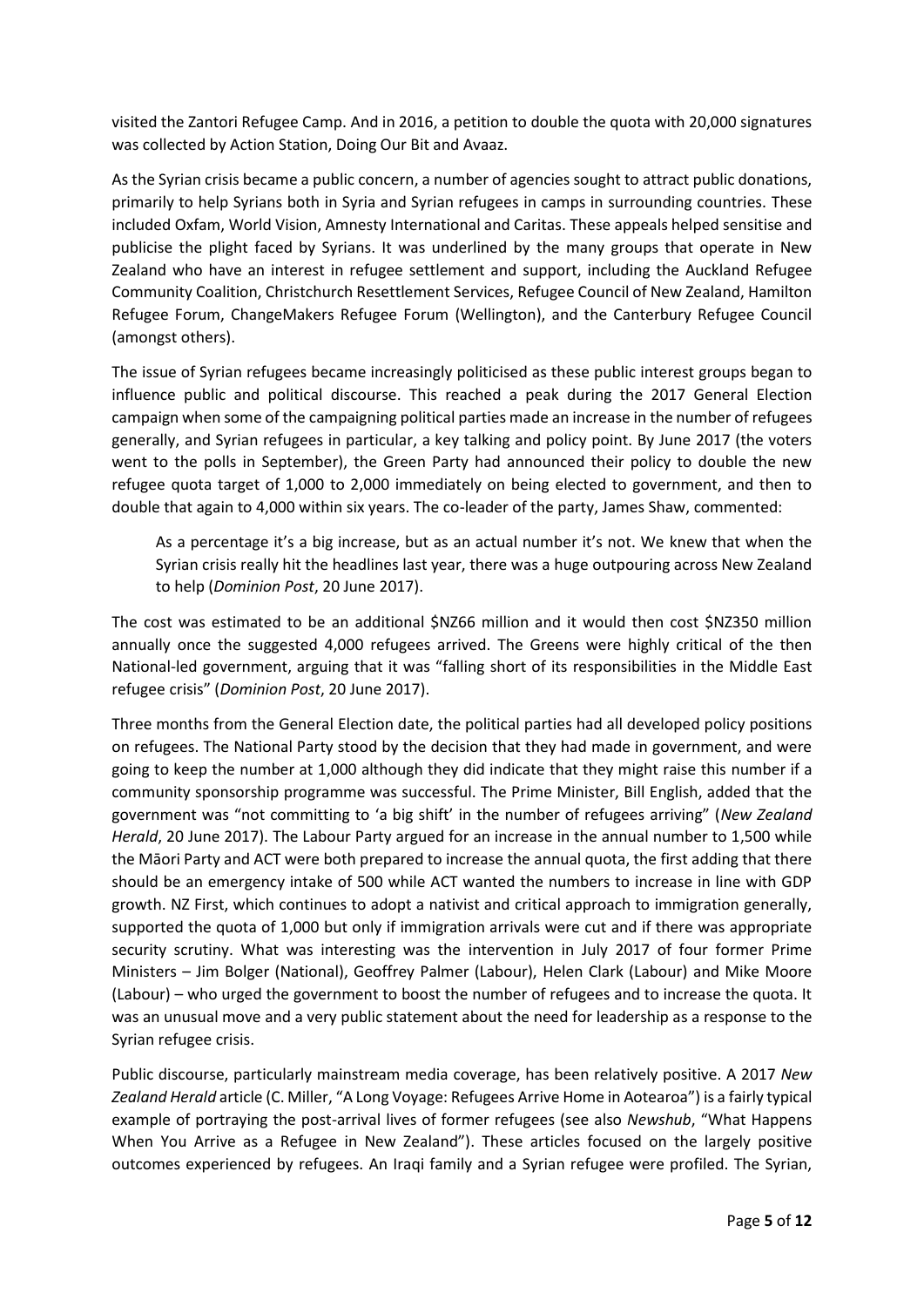visited the Zantori Refugee Camp. And in 2016, a petition to double the quota with 20,000 signatures was collected by Action Station, Doing Our Bit and Avaaz.

As the Syrian crisis became a public concern, a number of agencies sought to attract public donations, primarily to help Syrians both in Syria and Syrian refugees in camps in surrounding countries. These included Oxfam, World Vision, Amnesty International and Caritas. These appeals helped sensitise and publicise the plight faced by Syrians. It was underlined by the many groups that operate in New Zealand who have an interest in refugee settlement and support, including the Auckland Refugee Community Coalition, Christchurch Resettlement Services, Refugee Council of New Zealand, Hamilton Refugee Forum, ChangeMakers Refugee Forum (Wellington), and the Canterbury Refugee Council (amongst others).

The issue of Syrian refugees became increasingly politicised as these public interest groups began to influence public and political discourse. This reached a peak during the 2017 General Election campaign when some of the campaigning political parties made an increase in the number of refugees generally, and Syrian refugees in particular, a key talking and policy point. By June 2017 (the voters went to the polls in September), the Green Party had announced their policy to double the new refugee quota target of 1,000 to 2,000 immediately on being elected to government, and then to double that again to 4,000 within six years. The co-leader of the party, James Shaw, commented:

As a percentage it's a big increase, but as an actual number it's not. We knew that when the Syrian crisis really hit the headlines last year, there was a huge outpouring across New Zealand to help (*Dominion Post*, 20 June 2017).

The cost was estimated to be an additional \$NZ66 million and it would then cost \$NZ350 million annually once the suggested 4,000 refugees arrived. The Greens were highly critical of the then National-led government, arguing that it was "falling short of its responsibilities in the Middle East refugee crisis" (*Dominion Post*, 20 June 2017).

Three months from the General Election date, the political parties had all developed policy positions on refugees. The National Party stood by the decision that they had made in government, and were going to keep the number at 1,000 although they did indicate that they might raise this number if a community sponsorship programme was successful. The Prime Minister, Bill English, added that the government was "not committing to 'a big shift' in the number of refugees arriving" (*New Zealand Herald*, 20 June 2017). The Labour Party argued for an increase in the annual number to 1,500 while the Māori Party and ACT were both prepared to increase the annual quota, the first adding that there should be an emergency intake of 500 while ACT wanted the numbers to increase in line with GDP growth. NZ First, which continues to adopt a nativist and critical approach to immigration generally, supported the quota of 1,000 but only if immigration arrivals were cut and if there was appropriate security scrutiny. What was interesting was the intervention in July 2017 of four former Prime Ministers – Jim Bolger (National), Geoffrey Palmer (Labour), Helen Clark (Labour) and Mike Moore (Labour) – who urged the government to boost the number of refugees and to increase the quota. It was an unusual move and a very public statement about the need for leadership as a response to the Syrian refugee crisis.

Public discourse, particularly mainstream media coverage, has been relatively positive. A 2017 *New Zealand Herald* article (C. Miller, "A Long Voyage: Refugees Arrive Home in Aotearoa") is a fairly typical example of portraying the post-arrival lives of former refugees (see also *Newshub*, "What Happens When You Arrive as a Refugee in New Zealand"). These articles focused on the largely positive outcomes experienced by refugees. An Iraqi family and a Syrian refugee were profiled. The Syrian,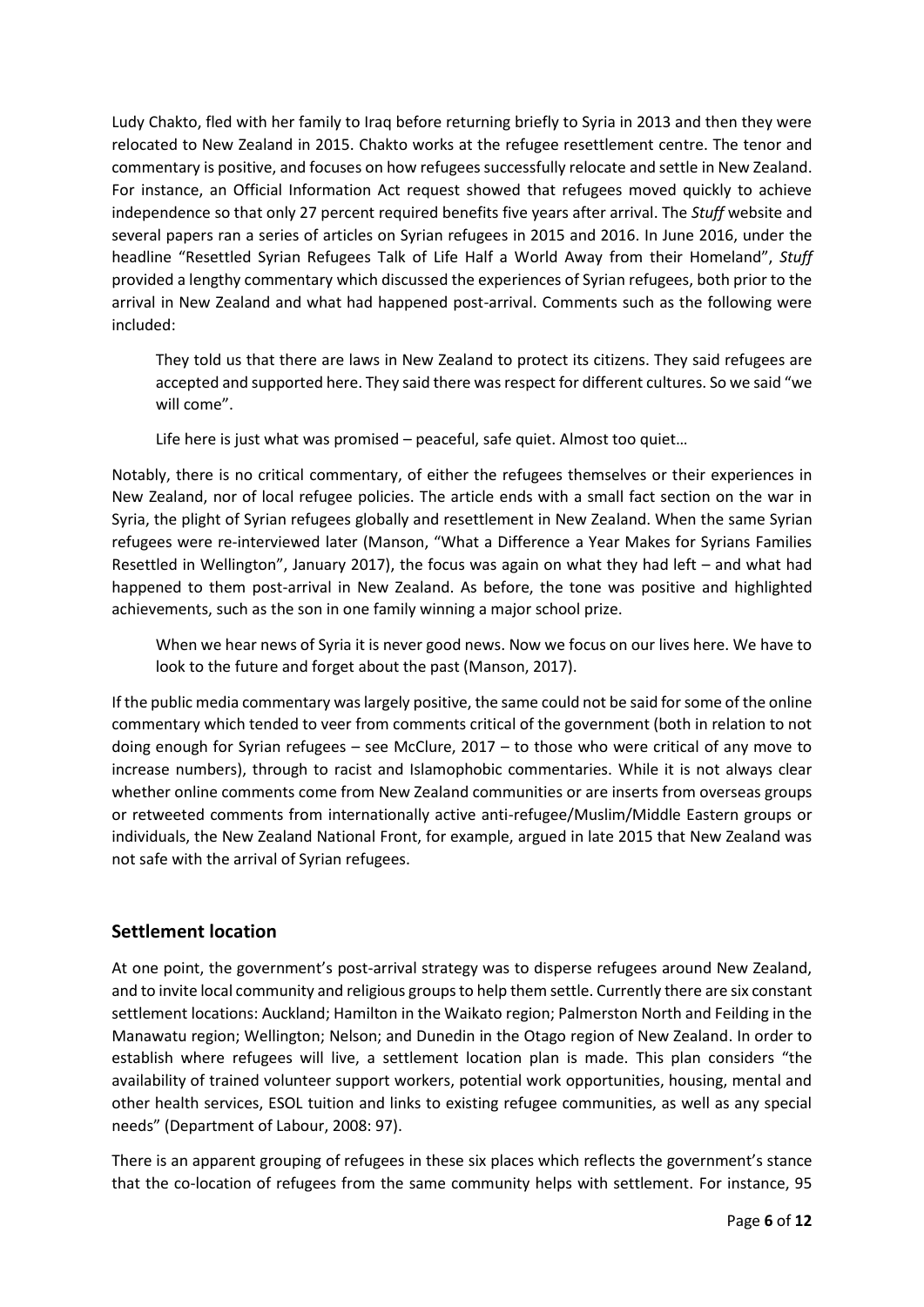Ludy Chakto, fled with her family to Iraq before returning briefly to Syria in 2013 and then they were relocated to New Zealand in 2015. Chakto works at the refugee resettlement centre. The tenor and commentary is positive, and focuses on how refugees successfully relocate and settle in New Zealand. For instance, an Official Information Act request showed that refugees moved quickly to achieve independence so that only 27 percent required benefits five years after arrival. The *Stuff* website and several papers ran a series of articles on Syrian refugees in 2015 and 2016. In June 2016, under the headline "Resettled Syrian Refugees Talk of Life Half a World Away from their Homeland", *Stuff* provided a lengthy commentary which discussed the experiences of Syrian refugees, both prior to the arrival in New Zealand and what had happened post-arrival. Comments such as the following were included:

They told us that there are laws in New Zealand to protect its citizens. They said refugees are accepted and supported here. They said there was respect for different cultures. So we said "we will come".

Life here is just what was promised – peaceful, safe quiet. Almost too quiet…

Notably, there is no critical commentary, of either the refugees themselves or their experiences in New Zealand, nor of local refugee policies. The article ends with a small fact section on the war in Syria, the plight of Syrian refugees globally and resettlement in New Zealand. When the same Syrian refugees were re-interviewed later (Manson, "What a Difference a Year Makes for Syrians Families Resettled in Wellington", January 2017), the focus was again on what they had left – and what had happened to them post-arrival in New Zealand. As before, the tone was positive and highlighted achievements, such as the son in one family winning a major school prize.

When we hear news of Syria it is never good news. Now we focus on our lives here. We have to look to the future and forget about the past (Manson, 2017).

If the public media commentary was largely positive, the same could not be said for some of the online commentary which tended to veer from comments critical of the government (both in relation to not doing enough for Syrian refugees – see McClure, 2017 – to those who were critical of any move to increase numbers), through to racist and Islamophobic commentaries. While it is not always clear whether online comments come from New Zealand communities or are inserts from overseas groups or retweeted comments from internationally active anti-refugee/Muslim/Middle Eastern groups or individuals, the New Zealand National Front, for example, argued in late 2015 that New Zealand was not safe with the arrival of Syrian refugees.

## **Settlement location**

At one point, the government's post-arrival strategy was to disperse refugees around New Zealand, and to invite local community and religious groups to help them settle. Currently there are six constant settlement locations: Auckland; Hamilton in the Waikato region; Palmerston North and Feilding in the Manawatu region; Wellington; Nelson; and Dunedin in the Otago region of New Zealand. In order to establish where refugees will live, a settlement location plan is made. This plan considers "the availability of trained volunteer support workers, potential work opportunities, housing, mental and other health services, ESOL tuition and links to existing refugee communities, as well as any special needs" (Department of Labour, 2008: 97).

There is an apparent grouping of refugees in these six places which reflects the government's stance that the co-location of refugees from the same community helps with settlement. For instance, 95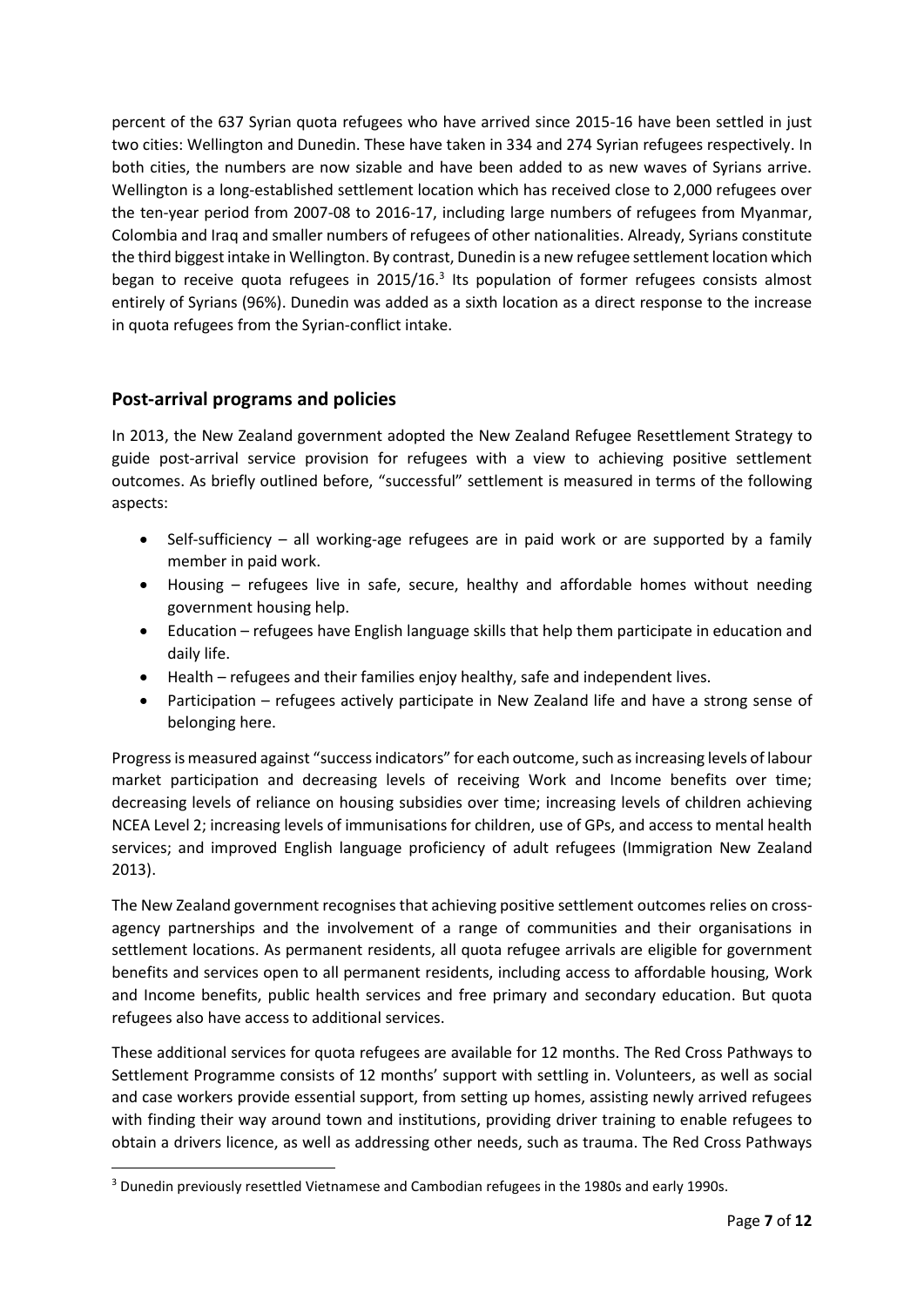percent of the 637 Syrian quota refugees who have arrived since 2015-16 have been settled in just two cities: Wellington and Dunedin. These have taken in 334 and 274 Syrian refugees respectively. In both cities, the numbers are now sizable and have been added to as new waves of Syrians arrive. Wellington is a long-established settlement location which has received close to 2,000 refugees over the ten-year period from 2007-08 to 2016-17, including large numbers of refugees from Myanmar, Colombia and Iraq and smaller numbers of refugees of other nationalities. Already, Syrians constitute the third biggest intake in Wellington. By contrast, Dunedin is a new refugee settlement location which began to receive quota refugees in 2015/16.<sup>3</sup> Its population of former refugees consists almost entirely of Syrians (96%). Dunedin was added as a sixth location as a direct response to the increase in quota refugees from the Syrian-conflict intake.

# **Post-arrival programs and policies**

**.** 

In 2013, the New Zealand government adopted the New Zealand Refugee Resettlement Strategy to guide post-arrival service provision for refugees with a view to achieving positive settlement outcomes. As briefly outlined before, "successful" settlement is measured in terms of the following aspects:

- Self-sufficiency all working-age refugees are in paid work or are supported by a family member in paid work.
- Housing refugees live in safe, secure, healthy and affordable homes without needing government housing help.
- Education refugees have English language skills that help them participate in education and daily life.
- Health refugees and their families enjoy healthy, safe and independent lives.
- Participation refugees actively participate in New Zealand life and have a strong sense of belonging here.

Progress is measured against "success indicators" for each outcome, such asincreasing levels of labour market participation and decreasing levels of receiving Work and Income benefits over time; decreasing levels of reliance on housing subsidies over time; increasing levels of children achieving NCEA Level 2; increasing levels of immunisations for children, use of GPs, and access to mental health services; and improved English language proficiency of adult refugees (Immigration New Zealand 2013).

The New Zealand government recognises that achieving positive settlement outcomes relies on crossagency partnerships and the involvement of a range of communities and their organisations in settlement locations. As permanent residents, all quota refugee arrivals are eligible for government benefits and services open to all permanent residents, including access to affordable housing, Work and Income benefits, public health services and free primary and secondary education. But quota refugees also have access to additional services.

These additional services for quota refugees are available for 12 months. The Red Cross Pathways to Settlement Programme consists of 12 months' support with settling in. Volunteers, as well as social and case workers provide essential support, from setting up homes, assisting newly arrived refugees with finding their way around town and institutions, providing driver training to enable refugees to obtain a drivers licence, as well as addressing other needs, such as trauma. The Red Cross Pathways

<sup>&</sup>lt;sup>3</sup> Dunedin previously resettled Vietnamese and Cambodian refugees in the 1980s and early 1990s.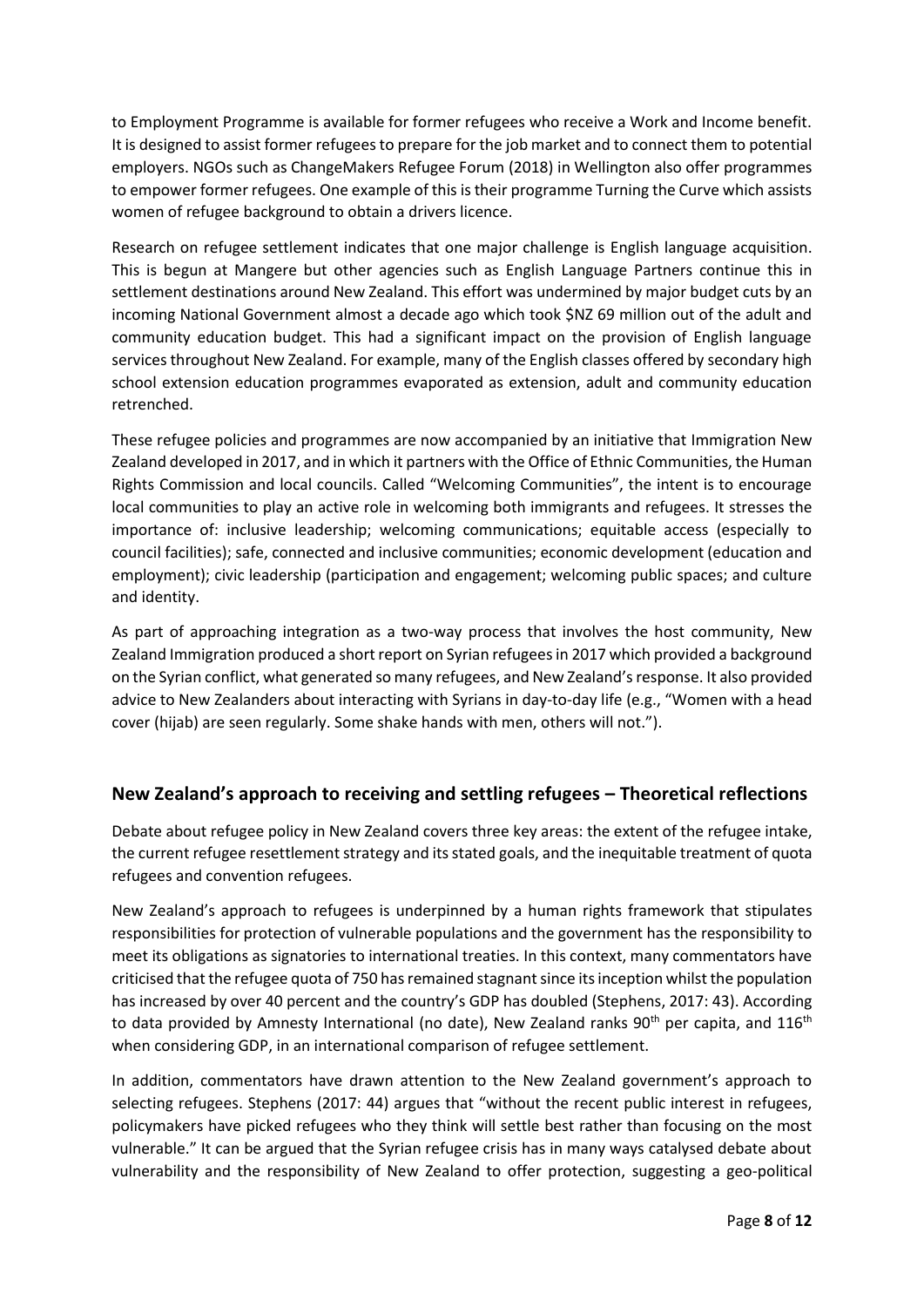to Employment Programme is available for former refugees who receive a Work and Income benefit. It is designed to assist former refugees to prepare for the job market and to connect them to potential employers. NGOs such as ChangeMakers Refugee Forum (2018) in Wellington also offer programmes to empower former refugees. One example of this is their programme Turning the Curve which assists women of refugee background to obtain a drivers licence.

Research on refugee settlement indicates that one major challenge is English language acquisition. This is begun at Mangere but other agencies such as English Language Partners continue this in settlement destinations around New Zealand. This effort was undermined by major budget cuts by an incoming National Government almost a decade ago which took \$NZ 69 million out of the adult and community education budget. This had a significant impact on the provision of English language services throughout New Zealand. For example, many of the English classes offered by secondary high school extension education programmes evaporated as extension, adult and community education retrenched.

These refugee policies and programmes are now accompanied by an initiative that Immigration New Zealand developed in 2017, and in which it partners with the Office of Ethnic Communities, the Human Rights Commission and local councils. Called "Welcoming Communities", the intent is to encourage local communities to play an active role in welcoming both immigrants and refugees. It stresses the importance of: inclusive leadership; welcoming communications; equitable access (especially to council facilities); safe, connected and inclusive communities; economic development (education and employment); civic leadership (participation and engagement; welcoming public spaces; and culture and identity.

As part of approaching integration as a two-way process that involves the host community, New Zealand Immigration produced a short report on Syrian refugees in 2017 which provided a background on the Syrian conflict, what generated so many refugees, and New Zealand'sresponse. It also provided advice to New Zealanders about interacting with Syrians in day-to-day life (e.g., "Women with a head cover (hijab) are seen regularly. Some shake hands with men, others will not.").

## **New Zealand's approach to receiving and settling refugees – Theoretical reflections**

Debate about refugee policy in New Zealand covers three key areas: the extent of the refugee intake, the current refugee resettlement strategy and its stated goals, and the inequitable treatment of quota refugees and convention refugees.

New Zealand's approach to refugees is underpinned by a human rights framework that stipulates responsibilities for protection of vulnerable populations and the government has the responsibility to meet its obligations as signatories to international treaties. In this context, many commentators have criticised that the refugee quota of 750 has remained stagnant since its inception whilst the population has increased by over 40 percent and the country's GDP has doubled (Stephens, 2017: 43). According to data provided by Amnesty International (no date), New Zealand ranks  $90<sup>th</sup>$  per capita, and  $116<sup>th</sup>$ when considering GDP, in an international comparison of refugee settlement.

In addition, commentators have drawn attention to the New Zealand government's approach to selecting refugees. Stephens (2017: 44) argues that "without the recent public interest in refugees, policymakers have picked refugees who they think will settle best rather than focusing on the most vulnerable." It can be argued that the Syrian refugee crisis has in many ways catalysed debate about vulnerability and the responsibility of New Zealand to offer protection, suggesting a geo-political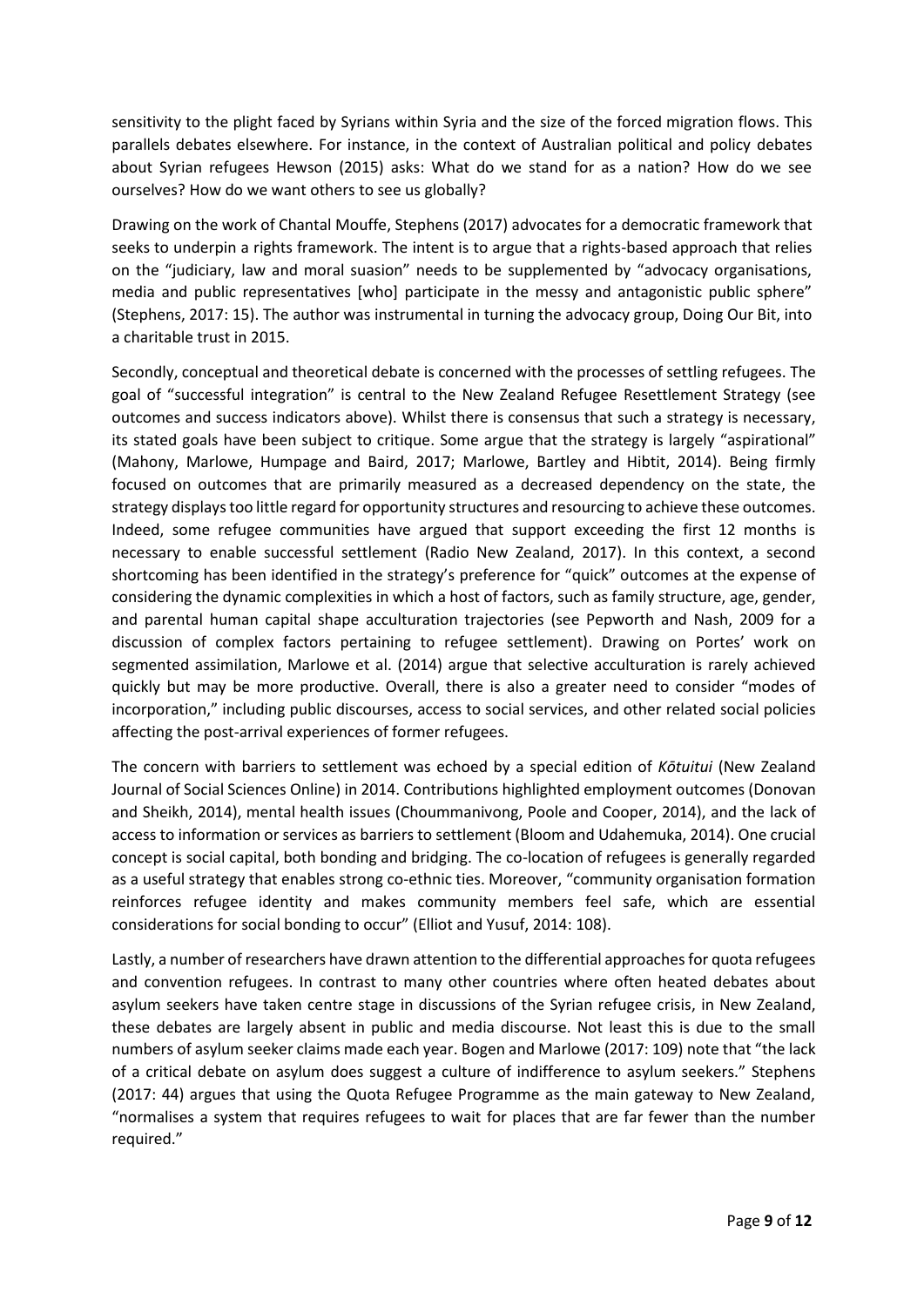sensitivity to the plight faced by Syrians within Syria and the size of the forced migration flows. This parallels debates elsewhere. For instance, in the context of Australian political and policy debates about Syrian refugees Hewson (2015) asks: What do we stand for as a nation? How do we see ourselves? How do we want others to see us globally?

Drawing on the work of Chantal Mouffe, Stephens (2017) advocates for a democratic framework that seeks to underpin a rights framework. The intent is to argue that a rights-based approach that relies on the "judiciary, law and moral suasion" needs to be supplemented by "advocacy organisations, media and public representatives [who] participate in the messy and antagonistic public sphere" (Stephens, 2017: 15). The author was instrumental in turning the advocacy group, Doing Our Bit, into a charitable trust in 2015.

Secondly, conceptual and theoretical debate is concerned with the processes of settling refugees. The goal of "successful integration" is central to the New Zealand Refugee Resettlement Strategy (see outcomes and success indicators above). Whilst there is consensus that such a strategy is necessary, its stated goals have been subject to critique. Some argue that the strategy is largely "aspirational" (Mahony, Marlowe, Humpage and Baird, 2017; Marlowe, Bartley and Hibtit, 2014). Being firmly focused on outcomes that are primarily measured as a decreased dependency on the state, the strategy displaystoo little regard for opportunity structures and resourcing to achieve these outcomes. Indeed, some refugee communities have argued that support exceeding the first 12 months is necessary to enable successful settlement (Radio New Zealand, 2017). In this context, a second shortcoming has been identified in the strategy's preference for "quick" outcomes at the expense of considering the dynamic complexities in which a host of factors, such as family structure, age, gender, and parental human capital shape acculturation trajectories (see Pepworth and Nash, 2009 for a discussion of complex factors pertaining to refugee settlement). Drawing on Portes' work on segmented assimilation, Marlowe et al. (2014) argue that selective acculturation is rarely achieved quickly but may be more productive. Overall, there is also a greater need to consider "modes of incorporation," including public discourses, access to social services, and other related social policies affecting the post-arrival experiences of former refugees.

The concern with barriers to settlement was echoed by a special edition of *Kōtuitui* (New Zealand Journal of Social Sciences Online) in 2014. Contributions highlighted employment outcomes (Donovan and Sheikh, 2014), mental health issues (Choummanivong, Poole and Cooper, 2014), and the lack of access to information or services as barriers to settlement (Bloom and Udahemuka, 2014). One crucial concept is social capital, both bonding and bridging. The co-location of refugees is generally regarded as a useful strategy that enables strong co-ethnic ties. Moreover, "community organisation formation reinforces refugee identity and makes community members feel safe, which are essential considerations for social bonding to occur" (Elliot and Yusuf, 2014: 108).

Lastly, a number of researchers have drawn attention to the differential approaches for quota refugees and convention refugees. In contrast to many other countries where often heated debates about asylum seekers have taken centre stage in discussions of the Syrian refugee crisis, in New Zealand, these debates are largely absent in public and media discourse. Not least this is due to the small numbers of asylum seeker claims made each year. Bogen and Marlowe (2017: 109) note that "the lack of a critical debate on asylum does suggest a culture of indifference to asylum seekers." Stephens (2017: 44) argues that using the Quota Refugee Programme as the main gateway to New Zealand, "normalises a system that requires refugees to wait for places that are far fewer than the number required."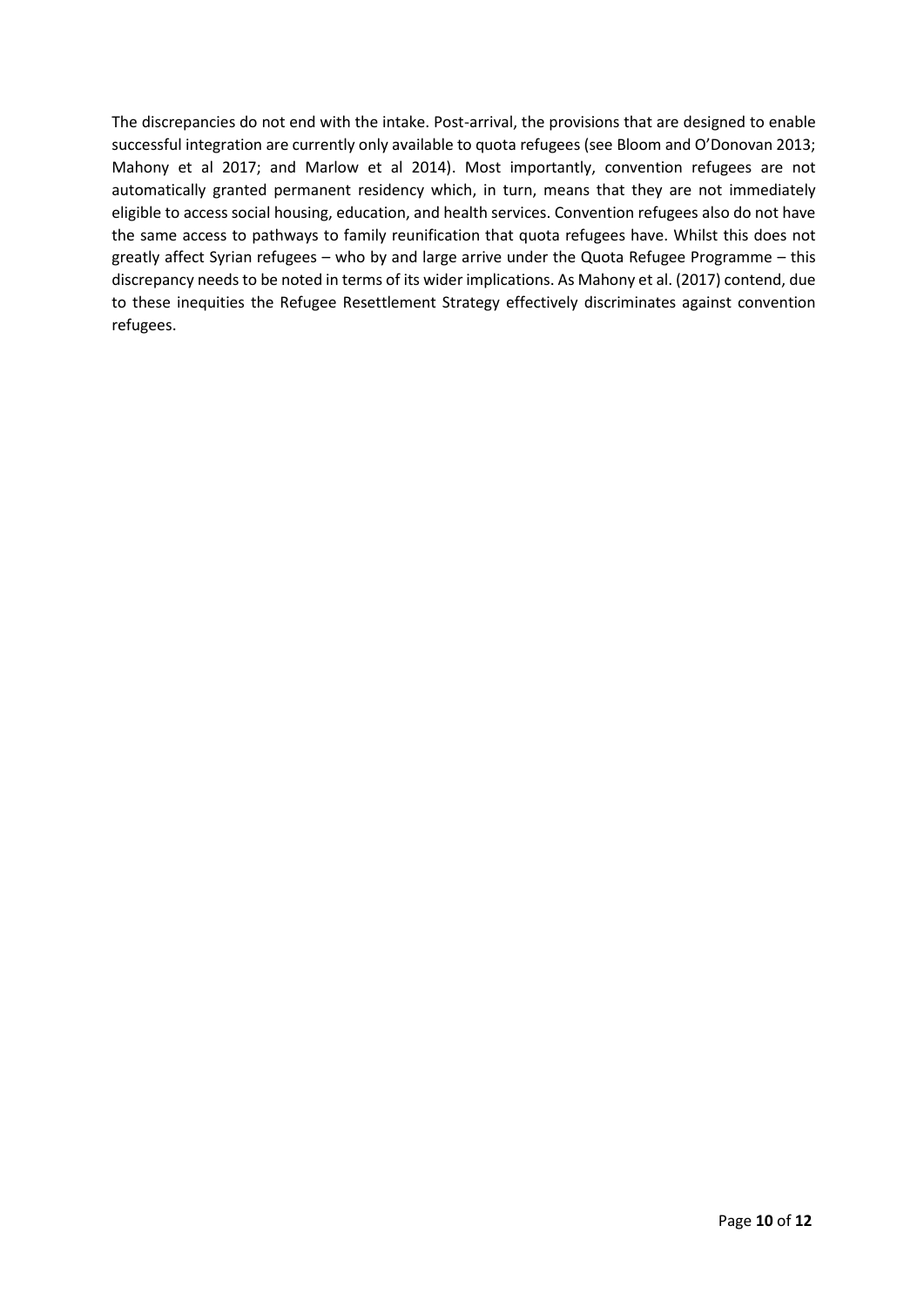The discrepancies do not end with the intake. Post-arrival, the provisions that are designed to enable successful integration are currently only available to quota refugees (see Bloom and O'Donovan 2013; Mahony et al 2017; and Marlow et al 2014). Most importantly, convention refugees are not automatically granted permanent residency which, in turn, means that they are not immediately eligible to access social housing, education, and health services. Convention refugees also do not have the same access to pathways to family reunification that quota refugees have. Whilst this does not greatly affect Syrian refugees – who by and large arrive under the Quota Refugee Programme – this discrepancy needs to be noted in terms of its wider implications. As Mahony et al. (2017) contend, due to these inequities the Refugee Resettlement Strategy effectively discriminates against convention refugees.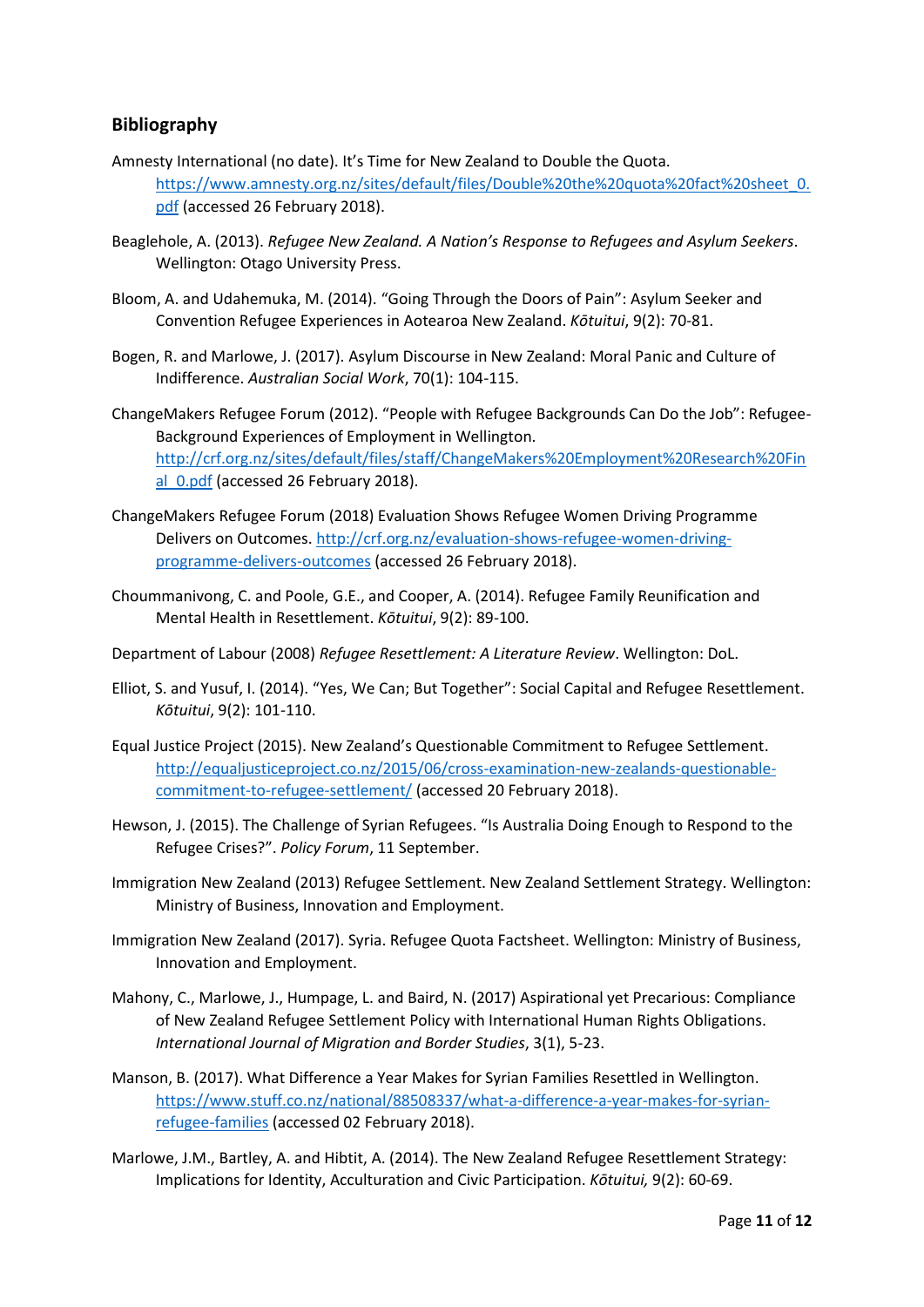### **Bibliography**

- Amnesty International (no date). It's Time for New Zealand to Double the Quota. [https://www.amnesty.org.nz/sites/default/files/Double%20the%20quota%20fact%20sheet\\_0.](https://www.amnesty.org.nz/sites/default/files/Double%20the%20quota%20fact%20sheet_0.pdf) [pdf](https://www.amnesty.org.nz/sites/default/files/Double%20the%20quota%20fact%20sheet_0.pdf) (accessed 26 February 2018).
- Beaglehole, A. (2013). *Refugee New Zealand. A Nation's Response to Refugees and Asylum Seekers*. Wellington: Otago University Press.
- Bloom, A. and Udahemuka, M. (2014). "Going Through the Doors of Pain": Asylum Seeker and Convention Refugee Experiences in Aotearoa New Zealand. *Kōtuitui*, 9(2): 70-81.
- Bogen, R. and Marlowe, J. (2017). Asylum Discourse in New Zealand: Moral Panic and Culture of Indifference. *Australian Social Work*, 70(1): 104-115.
- ChangeMakers Refugee Forum (2012). "People with Refugee Backgrounds Can Do the Job": Refugee-Background Experiences of Employment in Wellington. [http://crf.org.nz/sites/default/files/staff/ChangeMakers%20Employment%20Research%20Fin](http://crf.org.nz/sites/default/files/staff/ChangeMakers%20Employment%20Research%20Final_0.pdf) al 0.pdf (accessed 26 February 2018).
- ChangeMakers Refugee Forum (2018) Evaluation Shows Refugee Women Driving Programme Delivers on Outcomes. [http://crf.org.nz/evaluation-shows-refugee-women-driving](http://crf.org.nz/evaluation-shows-refugee-women-driving-programme-delivers-outcomes)[programme-delivers-outcomes](http://crf.org.nz/evaluation-shows-refugee-women-driving-programme-delivers-outcomes) (accessed 26 February 2018).
- Choummanivong, C. and Poole, G.E., and Cooper, A. (2014). Refugee Family Reunification and Mental Health in Resettlement. *Kōtuitui*, 9(2): 89-100.
- Department of Labour (2008) *Refugee Resettlement: A Literature Review*. Wellington: DoL.
- Elliot, S. and Yusuf, I. (2014). "Yes, We Can; But Together": Social Capital and Refugee Resettlement. *Kōtuitui*, 9(2): 101-110.
- Equal Justice Project (2015). New Zealand's Questionable Commitment to Refugee Settlement. [http://equaljusticeproject.co.nz/2015/06/cross-examination-new-zealands-questionable](http://equaljusticeproject.co.nz/2015/06/cross-examination-new-zealands-questionable-commitment-to-refugee-settlement/)[commitment-to-refugee-settlement/](http://equaljusticeproject.co.nz/2015/06/cross-examination-new-zealands-questionable-commitment-to-refugee-settlement/) (accessed 20 February 2018).
- Hewson, J. (2015). The Challenge of Syrian Refugees. "Is Australia Doing Enough to Respond to the Refugee Crises?". *Policy Forum*, 11 September.
- Immigration New Zealand (2013) Refugee Settlement. New Zealand Settlement Strategy. Wellington: Ministry of Business, Innovation and Employment.
- Immigration New Zealand (2017). Syria. Refugee Quota Factsheet. Wellington: Ministry of Business, Innovation and Employment.
- Mahony, C., Marlowe, J., Humpage, L. and Baird, N. (2017) Aspirational yet Precarious: Compliance of New Zealand Refugee Settlement Policy with International Human Rights Obligations. *International Journal of Migration and Border Studies*, 3(1), 5-23.
- Manson, B. (2017). What Difference a Year Makes for Syrian Families Resettled in Wellington. [https://www.stuff.co.nz/national/88508337/what-a-difference-a-year-makes-for-syrian](https://www.stuff.co.nz/national/88508337/what-a-difference-a-year-makes-for-syrian-refugee-families)[refugee-families](https://www.stuff.co.nz/national/88508337/what-a-difference-a-year-makes-for-syrian-refugee-families) (accessed 02 February 2018).
- Marlowe, J.M., Bartley, A. and Hibtit, A. (2014). The New Zealand Refugee Resettlement Strategy: Implications for Identity, Acculturation and Civic Participation. *Kōtuitui,* 9(2): 60-69.